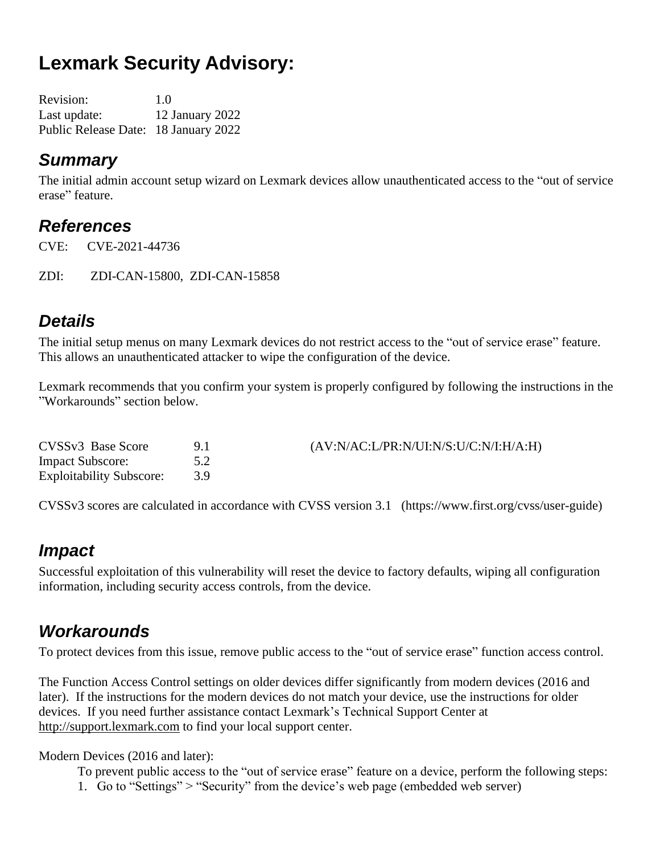# **Lexmark Security Advisory:**

| <b>Revision:</b>                     | 1.0             |
|--------------------------------------|-----------------|
| Last update:                         | 12 January 2022 |
| Public Release Date: 18 January 2022 |                 |

### *Summary*

The initial admin account setup wizard on Lexmark devices allow unauthenticated access to the "out of service erase" feature.

### *References*

CVE: CVE-2021-44736

ZDI: ZDI-CAN-15800, ZDI-CAN-15858

# *Details*

The initial setup menus on many Lexmark devices do not restrict access to the "out of service erase" feature. This allows an unauthenticated attacker to wipe the configuration of the device.

Lexmark recommends that you confirm your system is properly configured by following the instructions in the "Workarounds" section below.

| CVSSv3 Base Score               | (AV:N/AC:L/PR:N/UI:N/S:U/C:N/I:H/A:H) |
|---------------------------------|---------------------------------------|
| <b>Impact Subscore:</b>         |                                       |
| <b>Exploitability Subscore:</b> |                                       |

CVSSv3 scores are calculated in accordance with CVSS version 3.1 (https://www.first.org/cvss/user-guide)

### *Impact*

Successful exploitation of this vulnerability will reset the device to factory defaults, wiping all configuration information, including security access controls, from the device.

### *Workarounds*

To protect devices from this issue, remove public access to the "out of service erase" function access control.

The Function Access Control settings on older devices differ significantly from modern devices (2016 and later). If the instructions for the modern devices do not match your device, use the instructions for older devices. If you need further assistance contact Lexmark's Technical Support Center at [http://support.lexmark.com](http://support.lexmark.com/) to find your local support center.

#### Modern Devices (2016 and later):

To prevent public access to the "out of service erase" feature on a device, perform the following steps:

1. Go to "Settings" > "Security" from the device's web page (embedded web server)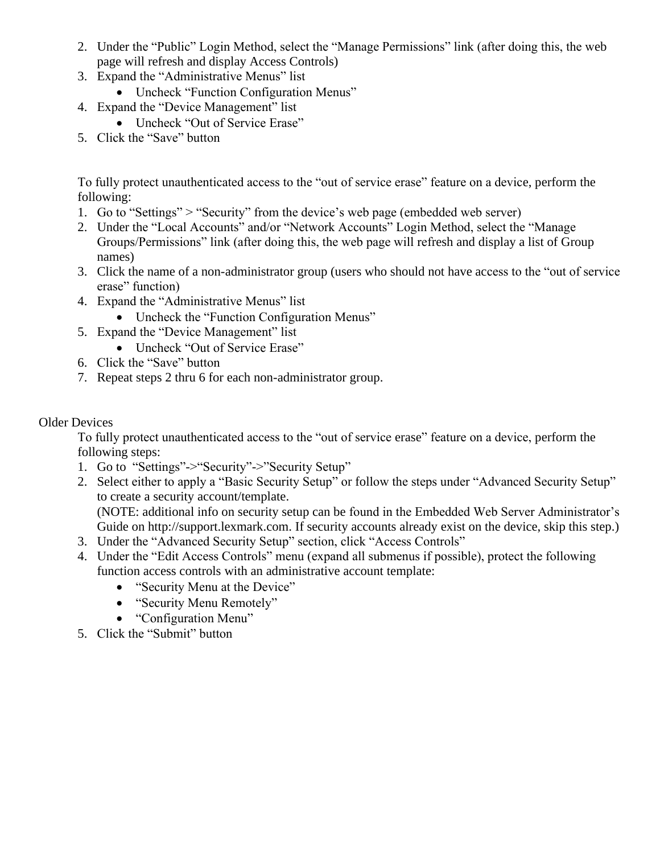- 2. Under the "Public" Login Method, select the "Manage Permissions" link (after doing this, the web page will refresh and display Access Controls)
- 3. Expand the "Administrative Menus" list
	- Uncheck "Function Configuration Menus"
- 4. Expand the "Device Management" list
	- Uncheck "Out of Service Erase"
- 5. Click the "Save" button

To fully protect unauthenticated access to the "out of service erase" feature on a device, perform the following:

- 1. Go to "Settings" > "Security" from the device's web page (embedded web server)
- 2. Under the "Local Accounts" and/or "Network Accounts" Login Method, select the "Manage Groups/Permissions" link (after doing this, the web page will refresh and display a list of Group names)
- 3. Click the name of a non-administrator group (users who should not have access to the "out of service erase" function)
- 4. Expand the "Administrative Menus" list
	- Uncheck the "Function Configuration Menus"
- 5. Expand the "Device Management" list
	- Uncheck "Out of Service Erase"
- 6. Click the "Save" button
- 7. Repeat steps 2 thru 6 for each non-administrator group.

#### Older Devices

To fully protect unauthenticated access to the "out of service erase" feature on a device, perform the following steps:

- 1. Go to "Settings"->"Security"->"Security Setup"
- 2. Select either to apply a "Basic Security Setup" or follow the steps under "Advanced Security Setup" to create a security account/template. (NOTE: additional info on security setup can be found in the Embedded Web Server Administrator's

Guide on http://support.lexmark.com. If security accounts already exist on the device, skip this step.)

- 3. Under the "Advanced Security Setup" section, click "Access Controls"
- 4. Under the "Edit Access Controls" menu (expand all submenus if possible), protect the following function access controls with an administrative account template:
	- "Security Menu at the Device"
	- "Security Menu Remotely"
	- "Configuration Menu"
- 5. Click the "Submit" button